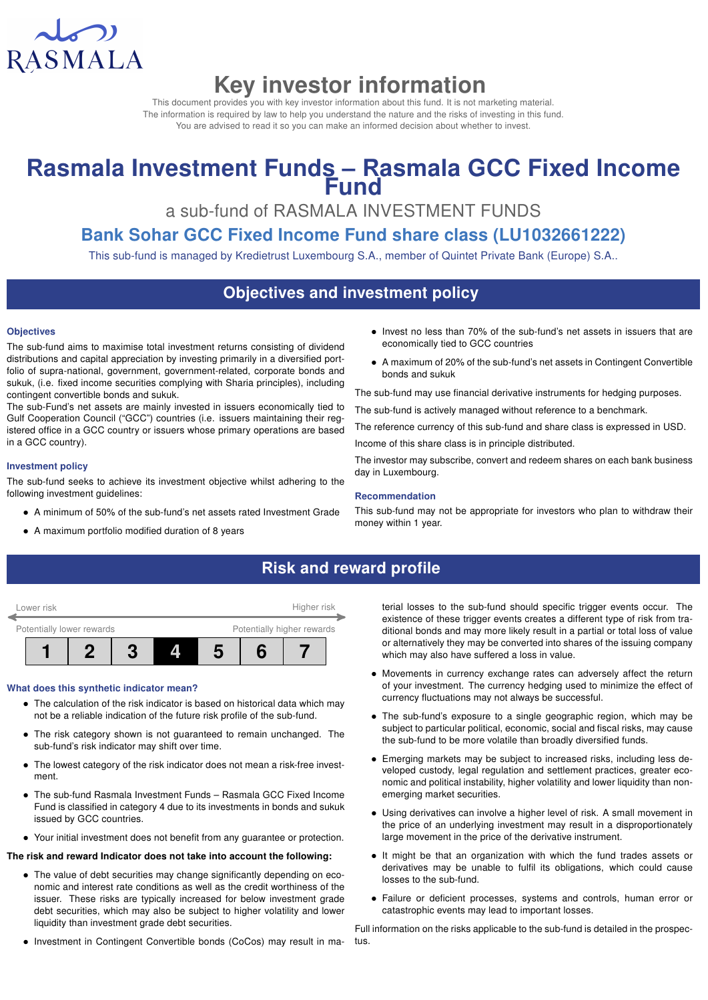

# Key investor information

This document provides you with key investor information about this fund. It is not marketing material. The information is required by law to help you understand the nature and the risks of investing in this fund. You are advised to read it so you can make an informed decision about whether to invest.

# Rasmala Investment Funds - Rasmala GCC Fixed Income **Fund**

a sub-fund of RASMALA INVESTMENT FUNDS

# Bank Sohar GCC Fixed Income Fund share class (LU1032661222)

This sub-fund is managed by Kredietrust Luxembourg S.A., member of Quintet Private Bank (Europe) S.A..

# Objectives and investment policy

#### **Objectives**

The sub-fund aims to maximise total investment returns consisting of dividend distributions and capital appreciation by investing primarily in a diversified portfolio of supra-national, government, government-related, corporate bonds and sukuk, (i.e. fixed income securities complying with Sharia principles), including contingent convertible bonds and sukuk.

The sub-Fund's net assets are mainly invested in issuers economically tied to Gulf Cooperation Council ("GCC") countries (i.e. issuers maintaining their registered office in a GCC country or issuers whose primary operations are based in a GCC country).

#### Investment policy

The sub-fund seeks to achieve its investment objective whilst adhering to the following investment guidelines:

- A minimum of 50% of the sub-fund's net assets rated Investment Grade
- A maximum portfolio modified duration of 8 years
- Invest no less than 70% of the sub-fund's net assets in issuers that are economically tied to GCC countries
- A maximum of 20% of the sub-fund's net assets in Contingent Convertible bonds and sukuk

The sub-fund may use financial derivative instruments for hedging purposes.

The sub-fund is actively managed without reference to a benchmark.

The reference currency of this sub-fund and share class is expressed in USD.

Income of this share class is in principle distributed.

The investor may subscribe, convert and redeem shares on each bank business day in Luxembourg.

#### Recommendation

This sub-fund may not be appropriate for investors who plan to withdraw their money within 1 year.

## Risk and reward profile



#### What does this synthetic indicator mean?

- The calculation of the risk indicator is based on historical data which may not be a reliable indication of the future risk profile of the sub-fund.
- The risk category shown is not guaranteed to remain unchanged. The sub-fund's risk indicator may shift over time.
- The lowest category of the risk indicator does not mean a risk-free investment.
- The sub-fund Rasmala Investment Funds Rasmala GCC Fixed Income Fund is classified in category 4 due to its investments in bonds and sukuk issued by GCC countries.
- Your initial investment does not benefit from any guarantee or protection.

#### The risk and reward Indicator does not take into account the following:

- The value of debt securities may change significantly depending on economic and interest rate conditions as well as the credit worthiness of the issuer. These risks are typically increased for below investment grade debt securities, which may also be subject to higher volatility and lower liquidity than investment grade debt securities.
- Investment in Contingent Convertible bonds (CoCos) may result in ma-

terial losses to the sub-fund should specific trigger events occur. The existence of these trigger events creates a different type of risk from traditional bonds and may more likely result in a partial or total loss of value or alternatively they may be converted into shares of the issuing company which may also have suffered a loss in value.

- Movements in currency exchange rates can adversely affect the return of your investment. The currency hedging used to minimize the effect of currency fluctuations may not always be successful.
- The sub-fund's exposure to a single geographic region, which may be subject to particular political, economic, social and fiscal risks, may cause the sub-fund to be more volatile than broadly diversified funds.
- Emerging markets may be subject to increased risks, including less developed custody, legal regulation and settlement practices, greater economic and political instability, higher volatility and lower liquidity than nonemerging market securities.
- Using derivatives can involve a higher level of risk. A small movement in the price of an underlying investment may result in a disproportionately large movement in the price of the derivative instrument.
- It might be that an organization with which the fund trades assets or derivatives may be unable to fulfil its obligations, which could cause losses to the sub-fund.
- Failure or deficient processes, systems and controls, human error or catastrophic events may lead to important losses.

Full information on the risks applicable to the sub-fund is detailed in the prospectus.